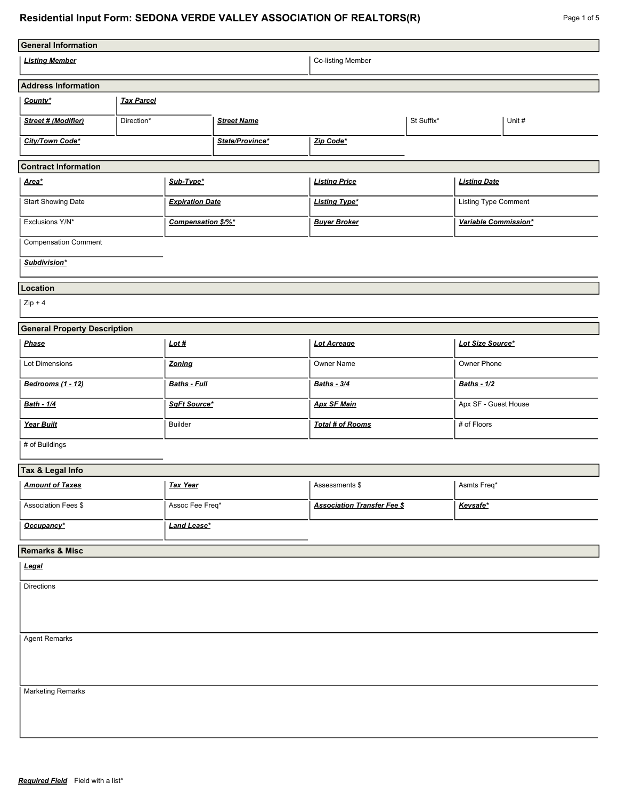# **Residential Input Form: SEDONA VERDE VALLEY ASSOCIATION OF REALTORS(R)**

| Page 1 of 5 |  |  |
|-------------|--|--|
|-------------|--|--|

| <b>General Information</b>                   |                                  |                      |                      |                                    |                      |                      |  |
|----------------------------------------------|----------------------------------|----------------------|----------------------|------------------------------------|----------------------|----------------------|--|
| Co-listing Member<br><b>Listing Member</b>   |                                  |                      |                      |                                    |                      |                      |  |
| <b>Address Information</b>                   |                                  |                      |                      |                                    |                      |                      |  |
| County*                                      | <b>Tax Parcel</b>                |                      |                      |                                    |                      |                      |  |
| Street # (Modifier)                          | <b>Street Name</b><br>Direction* |                      |                      | St Suffix*                         |                      | Unit #               |  |
| City/Town Code*<br>State/Province*           |                                  | Zip Code*            |                      |                                    |                      |                      |  |
| <b>Contract Information</b>                  |                                  |                      |                      |                                    |                      |                      |  |
| Sub-Type*<br><u>Area*</u>                    |                                  |                      | <b>Listing Price</b> |                                    | <b>Listing Date</b>  |                      |  |
| Start Showing Date<br><b>Expiration Date</b> |                                  | <b>Listing Type*</b> |                      |                                    | Listing Type Comment |                      |  |
| Exclusions Y/N*                              |                                  | Compensation \$/%*   |                      | <b>Buyer Broker</b>                |                      | Variable Commission* |  |
| <b>Compensation Comment</b>                  |                                  |                      |                      |                                    |                      |                      |  |
| Subdivision*                                 |                                  |                      |                      |                                    |                      |                      |  |
| Location                                     |                                  |                      |                      |                                    |                      |                      |  |
| $Zip + 4$                                    |                                  |                      |                      |                                    |                      |                      |  |
| <b>General Property Description</b>          |                                  |                      |                      |                                    |                      |                      |  |
| <b>Phase</b>                                 |                                  | Lot#                 |                      | Lot Acreage                        |                      | Lot Size Source*     |  |
| Lot Dimensions                               |                                  | Zoning               |                      | Owner Name                         |                      | Owner Phone          |  |
| Bedrooms (1 - 12)                            |                                  | <b>Baths - Full</b>  |                      | <b>Baths - 3/4</b>                 |                      | <b>Baths - 1/2</b>   |  |
| Bath - 1/4                                   |                                  | SqFt Source*         |                      | <b>Apx SF Main</b>                 |                      | Apx SF - Guest House |  |
| Year Built                                   |                                  | <b>Builder</b>       |                      | Total # of Rooms                   |                      | # of Floors          |  |
| # of Buildings                               |                                  |                      |                      |                                    |                      |                      |  |
| Tax & Legal Info                             |                                  |                      |                      |                                    |                      |                      |  |
| <b>Amount of Taxes</b>                       |                                  | <b>Tax Year</b>      |                      | Assessments \$                     |                      | Asmts Freq*          |  |
| Association Fees \$                          |                                  | Assoc Fee Freq*      |                      | <b>Association Transfer Fee \$</b> |                      | Keysafe*             |  |
| Occupancy*                                   |                                  | <b>Land Lease*</b>   |                      |                                    |                      |                      |  |
| <b>Remarks &amp; Misc</b>                    |                                  |                      |                      |                                    |                      |                      |  |
| Legal                                        |                                  |                      |                      |                                    |                      |                      |  |
| <b>Directions</b>                            |                                  |                      |                      |                                    |                      |                      |  |
|                                              |                                  |                      |                      |                                    |                      |                      |  |
|                                              |                                  |                      |                      |                                    |                      |                      |  |
| <b>Agent Remarks</b>                         |                                  |                      |                      |                                    |                      |                      |  |
|                                              |                                  |                      |                      |                                    |                      |                      |  |
| <b>Marketing Remarks</b>                     |                                  |                      |                      |                                    |                      |                      |  |
|                                              |                                  |                      |                      |                                    |                      |                      |  |
|                                              |                                  |                      |                      |                                    |                      |                      |  |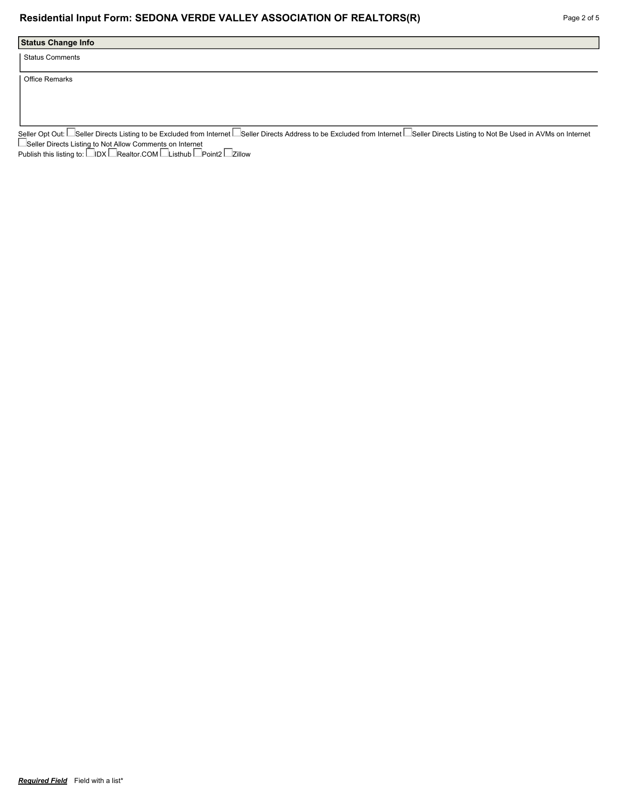### **Residential Input Form: SEDONA VERDE VALLEY ASSOCIATION OF REALTORS(R)** Page 2 of 5

# **Status Change Info**

Status Comments

Office Remarks

Seller Opt Out: └─Seller Directs Listing to be Excluded from Internet │─Seller Directs Address to be Excluded from Internet └─Seller Directs Listing to Not Be Used in AVMs on Internet Seller Directs Listing to Not Allow Comments on Internet

Publish this listing to: L\_IDX L\_Realtor.COM L\_Listhub L\_Point2 L\_Zillow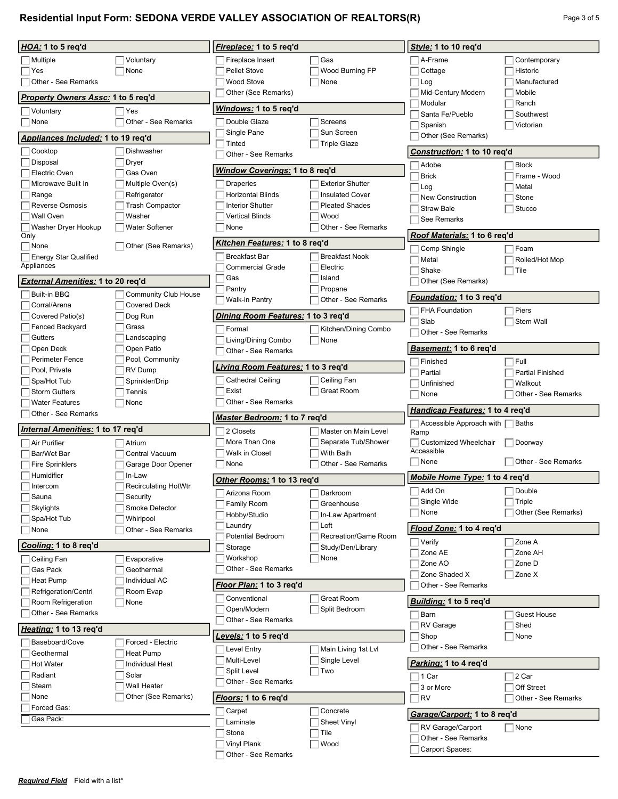# **Residential Input Form: SEDONA VERDE VALLEY ASSOCIATION OF REALTORS(R)** Page 3 of 5

| HOA: 1 to 5 req'd                        |                                                    | Fireplace: 1 to 5 req'd                      |                                     | Style: 1 to 10 req'd                                                     |                         |
|------------------------------------------|----------------------------------------------------|----------------------------------------------|-------------------------------------|--------------------------------------------------------------------------|-------------------------|
| Multiple                                 | Voluntary                                          | Fireplace Insert                             | Gas                                 | ∃A-Frame                                                                 | Contemporary            |
| Yes                                      | None                                               | <b>Pellet Stove</b>                          | Wood Burning FP                     | Cottage                                                                  | Historic                |
| Other - See Remarks                      |                                                    | Wood Stove                                   | None                                | Log                                                                      | Manufactured            |
| Property Owners Assc: 1 to 5 req'd       |                                                    | Other (See Remarks)                          |                                     | Mid-Century Modern                                                       | Mobile                  |
| Voluntary                                | Yes                                                | Windows: 1 to 5 req'd                        |                                     | Modular                                                                  | Ranch                   |
| None                                     | Other - See Remarks                                | Double Glaze                                 | Screens                             | Santa Fe/Pueblo                                                          | Southwest               |
|                                          |                                                    | Single Pane                                  | Sun Screen                          | Spanish                                                                  | Victorian               |
| Appliances Included: 1 to 19 req'd       |                                                    | Tinted                                       | <b>Triple Glaze</b>                 | Other (See Remarks)                                                      |                         |
| Cooktop                                  | Dishwasher                                         | Other - See Remarks                          |                                     | Construction: 1 to 10 req'd                                              |                         |
| Disposal                                 | Dryer                                              | <u>Window Coverings:</u> 1 to 8 req'd        |                                     | Adobe                                                                    | <b>Block</b>            |
| Electric Oven<br>Microwave Built In      | Gas Oven<br>Multiple Oven(s)                       |                                              | <b>Exterior Shutter</b>             | <b>Brick</b>                                                             | Frame - Wood            |
| Range                                    | Refrigerator                                       | <b>Draperies</b><br><b>Horizontal Blinds</b> | <b>Insulated Cover</b>              | Log                                                                      | Metal                   |
| <b>Reverse Osmosis</b>                   | <b>Trash Compactor</b>                             | <b>Interior Shutter</b>                      | <b>Pleated Shades</b>               | <b>New Construction</b>                                                  | Stone                   |
| Wall Oven                                | Washer                                             | Vertical Blinds                              | Wood                                | <b>Straw Bale</b>                                                        | Stucco                  |
| Washer Dryer Hookup                      | <b>Water Softener</b>                              | None                                         | Other - See Remarks                 | See Remarks                                                              |                         |
| Only                                     |                                                    | Kitchen Features: 1 to 8 req'd               |                                     | Roof Materials: 1 to 6 req'd                                             |                         |
| None<br><b>Energy Star Qualified</b>     | Other (See Remarks)                                | <b>Breakfast Bar</b>                         | <b>Breakfast Nook</b>               | Comp Shingle                                                             | ⊺Foam                   |
| Appliances                               |                                                    | <b>Commercial Grade</b>                      | Electric                            | Metal                                                                    | Rolled/Hot Mop          |
|                                          |                                                    | Gas                                          | Island                              | Shake                                                                    | $\vert$ Tile            |
| External Amenities: 1 to 20 req'd        |                                                    | Pantry                                       | Propane                             | Other (See Remarks)                                                      |                         |
| Built-in BBQ<br>Corral/Arena             | <b>Community Club House</b><br><b>Covered Deck</b> | Walk-in Pantry                               | Other - See Remarks                 | Foundation: 1 to 3 reg'd                                                 |                         |
| Covered Patio(s)                         | Dog Run                                            | Dining Room Features: 1 to 3 req'd           |                                     | <b>FHA Foundation</b>                                                    | Piers                   |
| <b>Fenced Backyard</b>                   | Grass                                              | Formal                                       | Kitchen/Dining Combo                | Slab                                                                     | Stem Wall               |
| Gutters                                  | Landscaping                                        | Living/Dining Combo                          | None                                | Other - See Remarks                                                      |                         |
| Open Deck                                | Open Patio                                         | Other - See Remarks                          |                                     | <b>Basement: 1 to 6 reg'd</b>                                            |                         |
| Perimeter Fence                          | Pool, Community                                    | <u>Living Room Features:</u> 1 to 3 req'd    |                                     | Finished                                                                 | $\top$ Full             |
| Pool, Private                            | RV Dump                                            |                                              |                                     | Partial                                                                  | <b>Partial Finished</b> |
| Spa/Hot Tub                              | Sprinkler/Drip                                     | <b>Cathedral Ceiling</b>                     | Ceiling Fan                         | Unfinished                                                               | Walkout                 |
| <b>Storm Gutters</b>                     | Tennis                                             | Exist<br>Other - See Remarks                 | Great Room                          | None                                                                     | Other - See Remarks     |
| <b>Water Features</b>                    | None                                               |                                              |                                     | Handicap Features: 1 to 4 req'd                                          |                         |
|                                          |                                                    |                                              |                                     |                                                                          |                         |
| Other - See Remarks                      |                                                    | Master Bedroom: 1 to 7 req'd                 |                                     | $\sqrt{\phantom{a}}$ Accessible Approach with $\sqrt{\phantom{a}}$ Baths |                         |
| <i>Internal Amenities:</i> 1 to 17 req'd |                                                    | 2 Closets                                    | Master on Main Level                | Ramp                                                                     |                         |
| Air Purifier                             | Atrium                                             | More Than One                                | Separate Tub/Shower                 | Customized Wheelchair                                                    | Doorway                 |
| Bar/Wet Bar                              | Central Vacuum                                     | Walk in Closet                               | With Bath                           | Accessible                                                               |                         |
| <b>Fire Sprinklers</b>                   | Garage Door Opener                                 | None                                         | Other - See Remarks                 | ⊺None                                                                    | Other - See Remarks     |
| Humidifier                               | In-Law                                             | Other Rooms: 1 to 13 req'd                   |                                     | Mobile Home Type: 1 to 4 req'd                                           |                         |
| Intercom                                 | <b>Recirculating HotWtr</b>                        | Arizona Room                                 | Darkroom                            | $\Box$ Add On                                                            | $\Box$ Double           |
| Sauna                                    | Security                                           | Family Room                                  | Greenhouse                          | Single Wide                                                              | $ $ Triple              |
| Skylights                                | Smoke Detector                                     | Hobby/Studio                                 | In-Law Apartment                    | None                                                                     | Other (See Remarks)     |
| Spa/Hot Tub<br>None                      | Whirlpool<br>Other - See Remarks                   | Laundry                                      | Loft                                | Flood Zone: 1 to 4 req'd                                                 |                         |
|                                          |                                                    | Potential Bedroom                            | Recreation/Game Room                | $ $ Verify                                                               | Zone A                  |
| Cooling: 1 to 8 req'd                    |                                                    | Storage                                      | Study/Den/Library                   | Zone AE                                                                  | Zone AH                 |
| Ceiling Fan                              | Evaporative                                        | Workshop                                     | None                                | Zone AO                                                                  | Zone D                  |
| Gas Pack                                 | Geothermal                                         | Other - See Remarks                          |                                     | Zone Shaded X                                                            | $\exists$ Zone X        |
| Heat Pump                                | Individual AC                                      | Floor Plan: 1 to 3 req'd                     |                                     | Other - See Remarks                                                      |                         |
| Refrigeration/Centrl                     | Room Evap                                          | Conventional                                 | Great Room                          |                                                                          |                         |
| Room Refrigeration                       | None                                               | Open/Modern                                  | Split Bedroom                       | Building: 1 to 5 reg'd                                                   |                         |
| Other - See Remarks                      |                                                    | Other - See Remarks                          |                                     | Barn                                                                     | <b>Guest House</b>      |
| Heating: 1 to 13 req'd                   |                                                    |                                              |                                     | RV Garage<br>Shop                                                        | Shed<br>$\Box$ None     |
| Baseboard/Cove                           | Forced - Electric                                  | Levels: 1 to 5 req'd<br>Level Entry          |                                     | Other - See Remarks                                                      |                         |
| Geothermal                               | Heat Pump                                          | Multi-Level                                  | Main Living 1st Lvl<br>Single Level |                                                                          |                         |
| <b>Hot Water</b>                         | Individual Heat                                    | Split Level                                  | Two                                 | Parking: 1 to 4 reg'd                                                    |                         |
| Radiant                                  | Solar                                              | Other - See Remarks                          |                                     | ∃1 Car                                                                   | $\sqsupset$ 2 Car       |
| Steam                                    | <b>Wall Heater</b>                                 |                                              |                                     | 3 or More                                                                | Off Street              |
| None<br>Forced Gas:                      | Other (See Remarks)                                | Floors: 1 to 6 req'd                         |                                     | <b>RV</b>                                                                | Other - See Remarks     |
| Gas Pack:                                |                                                    | Carpet                                       | Concrete                            | Garage/Carport: 1 to 8 reg'd                                             |                         |
|                                          |                                                    | Laminate                                     | Sheet Vinyl                         | RV Garage/Carport                                                        | $\Box$ None             |
|                                          |                                                    | Stone<br>Vinyl Plank                         | Tile<br>Wood                        | Other - See Remarks<br>Carport Spaces:                                   |                         |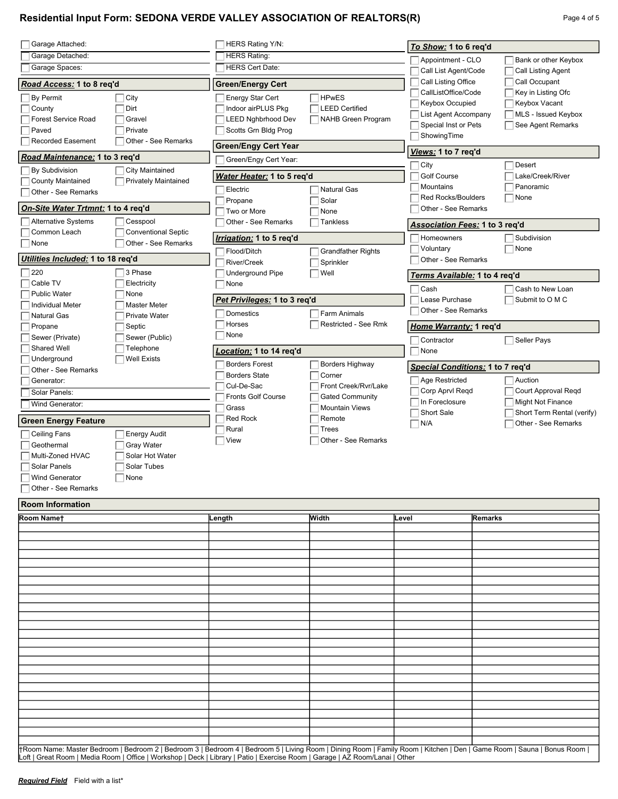## **Residential Input Form: SEDONA VERDE VALLEY ASSOCIATION OF REALTORS(R)** Page 4 of 5

| Garage Attached:                   |                             | HERS Rating Y/N:                |                             | To Show: 1 to 6 req'd            |                                                   |  |  |
|------------------------------------|-----------------------------|---------------------------------|-----------------------------|----------------------------------|---------------------------------------------------|--|--|
| Garage Detached:                   |                             | <b>HERS Rating:</b>             |                             | Appointment - CLO                | Bank or other Keybox                              |  |  |
| Garage Spaces:                     |                             | <b>HERS Cert Date:</b>          |                             |                                  | Call List Agent/Code<br><b>Call Listing Agent</b> |  |  |
| Road Access: 1 to 8 reg'd          |                             | <b>Green/Energy Cert</b>        |                             | Call Listing Office              | Call Occupant                                     |  |  |
| By Permit                          | City                        | <b>Energy Star Cert</b>         | <b>HPwES</b>                | CallListOffice/Code              | Key in Listing Ofc                                |  |  |
| County                             | Dirt                        | Indoor airPLUS Pkg              | <b>LEED Certified</b>       | Keybox Occupied                  | Keybox Vacant                                     |  |  |
| Forest Service Road                | Gravel                      | <b>LEED Nghbrhood Dev</b>       | NAHB Green Program          | List Agent Accompany             | MLS - Issued Keybox                               |  |  |
| Paved                              | Private                     | Scotts Grn Bldg Prog            |                             | Special Inst or Pets             | See Agent Remarks                                 |  |  |
| <b>Recorded Easement</b>           | Other - See Remarks         | <b>Green/Engy Cert Year</b>     |                             | ShowingTime                      |                                                   |  |  |
| Road Maintenance: 1 to 3 req'd     |                             | Green/Engy Cert Year:           |                             |                                  | Views: 1 to 7 req'd                               |  |  |
| By Subdivision                     | <b>City Maintained</b>      |                                 |                             | City                             | Desert                                            |  |  |
| <b>County Maintained</b>           | <b>Privately Maintained</b> | Water Heater: 1 to 5 req'd      |                             | <b>Golf Course</b>               | Lake/Creek/River                                  |  |  |
| Other - See Remarks                |                             | Electric                        | <b>Natural Gas</b>          | Mountains                        | Panoramic                                         |  |  |
|                                    |                             | Propane                         | Solar                       | <b>Red Rocks/Boulders</b>        | None                                              |  |  |
| On Site Water Trtmnt: 1 to 4 req'd |                             | Two or More                     | None                        | Other - See Remarks              |                                                   |  |  |
| <b>Alternative Systems</b>         | Cesspool                    | Other - See Remarks<br>Tankless |                             |                                  | Association Fees: 1 to 3 req'd                    |  |  |
| Common Leach                       | <b>Conventional Septic</b>  | Irrigation: 1 to 5 req'd        |                             | Homeowners                       | Subdivision                                       |  |  |
| None                               | Other - See Remarks         | Flood/Ditch                     | <b>Grandfather Rights</b>   | Voluntary                        | None                                              |  |  |
| Utilities Included: 1 to 18 reg'd  |                             | River/Creek                     | Sprinkler                   | Other - See Remarks              |                                                   |  |  |
| 220                                | 3 Phase                     | <b>Underground Pipe</b>         | Well                        |                                  |                                                   |  |  |
| Cable TV                           | Electricity                 | None                            |                             | Terms Available: 1 to 4 req'd    |                                                   |  |  |
| <b>Public Water</b>                | None                        |                                 |                             | Cash                             | Cash to New Loan                                  |  |  |
| <b>Individual Meter</b>            | <b>Master Meter</b>         | Pet Privileges: 1 to 3 req'd    |                             | Lease Purchase                   | Submit to O M C                                   |  |  |
| <b>Natural Gas</b>                 | Private Water               | Domestics                       | <b>Farm Animals</b>         | Other - See Remarks              |                                                   |  |  |
| Propane                            | Septic                      | Horses                          | <b>Restricted - See Rmk</b> | <u>Home Warranty:</u> 1 req'd    |                                                   |  |  |
| Sewer (Private)                    | Sewer (Public)              | None                            |                             | Contractor                       | Seller Pays                                       |  |  |
| Shared Well                        | Telephone                   | Location: 1 to 14 reg'd         |                             | None                             |                                                   |  |  |
| Underground                        | <b>Well Exists</b>          |                                 |                             |                                  |                                                   |  |  |
| Other - See Remarks                |                             | <b>Borders Forest</b>           | <b>Borders Highway</b>      | Special Conditions: 1 to 7 req'd |                                                   |  |  |
| Generator:                         |                             | <b>Borders State</b>            | Corner                      | Age Restricted                   | Auction                                           |  |  |
| Solar Panels:                      |                             | Cul-De-Sac                      | Front Creek/Rvr/Lake        | Corp Aprvl Regd                  | Court Approval Reqd                               |  |  |
| Wind Generator:                    |                             | <b>Fronts Golf Course</b>       | <b>Gated Community</b>      | In Foreclosure                   | <b>Might Not Finance</b>                          |  |  |
|                                    |                             | Grass                           | <b>Mountain Views</b>       | Short Sale                       | Short Term Rental (verify)                        |  |  |
| <b>Green Energy Feature</b>        |                             | <b>Red Rock</b>                 | Remote                      | N/A                              | Other - See Remarks                               |  |  |
| <b>Ceiling Fans</b>                | <b>Energy Audit</b>         | Rural                           | <b>Trees</b>                |                                  |                                                   |  |  |
| Geothermal                         | <b>Gray Water</b>           | View                            | Other - See Remarks         |                                  |                                                   |  |  |
| Multi-Zoned HVAC                   | Solar Hot Water             |                                 |                             |                                  |                                                   |  |  |
| Solar Panels                       | Solar Tubes                 |                                 |                             |                                  |                                                   |  |  |
| <b>Wind Generator</b>              | None                        |                                 |                             |                                  |                                                   |  |  |
| Other - See Remarks                |                             |                                 |                             |                                  |                                                   |  |  |
| <b>Room Information</b>            |                             |                                 |                             |                                  |                                                   |  |  |
| Room Namet                         |                             | Length                          | Width                       | Level                            | Remarks                                           |  |  |
|                                    |                             |                                 |                             |                                  |                                                   |  |  |
|                                    |                             |                                 |                             |                                  |                                                   |  |  |
|                                    |                             |                                 |                             |                                  |                                                   |  |  |
|                                    |                             |                                 |                             |                                  |                                                   |  |  |
|                                    |                             |                                 |                             |                                  |                                                   |  |  |
|                                    |                             |                                 |                             |                                  |                                                   |  |  |
|                                    |                             |                                 |                             |                                  |                                                   |  |  |

†Room Name: Master Bedroom | Bedroom 2 | Bedroom 3 | Bedroom 4 | Bedroom 5 | Living Room | Dining Room | Family Room | Kitchen | Den | Game Room | Sauna | Bonus Room | Loft | Great Room | Media Room | Office | Workshop | Deck | Library | Patio | Exercise Room | Garage | AZ Room/Lanai | Other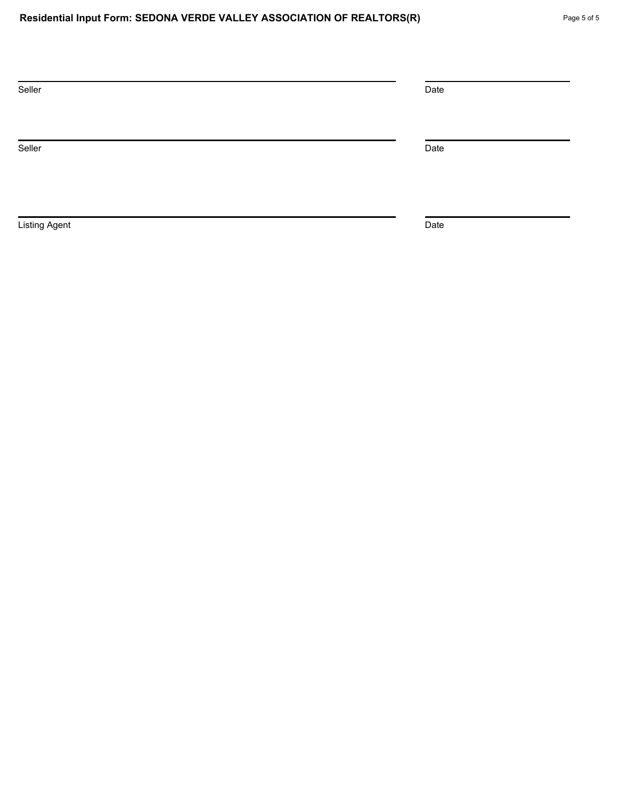| Seller               | Date |
|----------------------|------|
| Seller               | Date |
| <b>Listing Agent</b> | Date |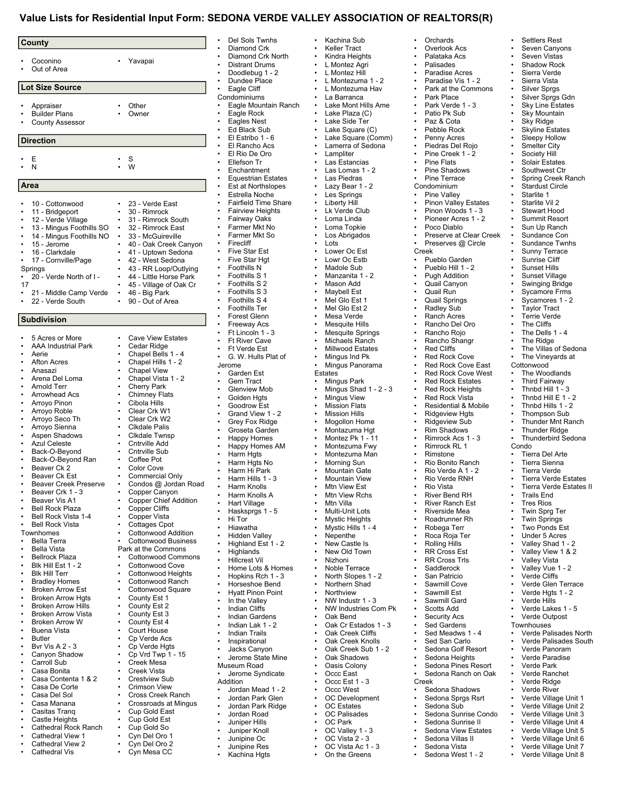#### **Value Lists for Residential Input Form: SEDONA VERDE VALLEY ASSOCIATION OF REALTORS(R)**

| County                                                |        |                                                    |
|-------------------------------------------------------|--------|----------------------------------------------------|
| Coconino<br>Out of Area                               |        | Yavapai                                            |
| Lot Size Source                                       |        |                                                    |
| Appraiser                                             |        | Other                                              |
| <b>Builder Plans</b>                                  |        | Owner                                              |
| <b>County Assessor</b>                                |        |                                                    |
| <b>Direction</b>                                      |        |                                                    |
| Ε                                                     |        | S                                                  |
| N                                                     |        | W                                                  |
| Area                                                  |        |                                                    |
|                                                       |        |                                                    |
| 10 - Cottonwood<br>11 - Bridgeport                    |        | 23 - Verde East<br>30 - Rimrock                    |
| 12 - Verde Village                                    |        | 31 - Rimrock South                                 |
| 13 - Mingus Foothills SO                              | ٠      | 32 - Rimrock East                                  |
| 14 - Mingus Foothills NO                              | ٠      | 33 - McGuireville                                  |
| 15 - Jerome<br>16 - Clarkdale                         | ٠      | 40 - Oak Creek Canyon<br>41 - Uptown Sedona        |
| 17 - Cornville/Page                                   |        | 42 - West Sedona                                   |
| Springs                                               |        | 43 - RR Loop/Outlying                              |
| 20 - Verde North of I -<br>٠                          | ٠      | 44 - Little Horse Park                             |
| 17                                                    |        | 45 - Village of Oak Cr                             |
| 21 - Middle Camp Verde<br>22 - Verde South            | ٠      | 46 - Big Park<br>90 - Out of Area                  |
| <b>Subdivision</b>                                    |        |                                                    |
|                                                       |        |                                                    |
| 5 Acres or More                                       |        | <b>Cave View Estates</b>                           |
| <b>AAA Industrial Park</b><br>Aerie                   |        | Cedar Ridge<br>Chapel Bells 1 - 4                  |
| Afton Acres                                           |        | Chapel Hills 1 - 2                                 |
| Anasazi                                               |        | <b>Chapel View</b>                                 |
| Arena Del Loma                                        |        | Chapel Vista 1 - 2                                 |
| Arnold Terr<br>Arrowhead Acs                          | ٠<br>٠ | <b>Cherry Park</b>                                 |
| Arroyo Pinon                                          |        | <b>Chimney Flats</b><br>Cibola Hills               |
| Arroyo Roble                                          |        | Clear Crk W1                                       |
| Arroyo Seco Th                                        |        | Clear Crk W2                                       |
| Arroyo Sienna                                         |        | Clkdale Palis                                      |
| Aspen Shadows<br><b>Azul Celeste</b>                  |        | Clkdale Twnsp<br>Cntrville Add                     |
| Back-O-Beyond                                         |        | Cntrville Sub                                      |
| Back-O-Beyond Ran                                     |        | Coffee Pot                                         |
| Beaver Ck 2                                           |        | <b>Color Cove</b>                                  |
| Beaver Ck Est                                         |        | Commercial Only                                    |
| <b>Beaver Creek Preserve</b><br>٠<br>Beaver Crk 1 - 3 | ٠      | Condos @ Jordan Road<br>Copper Canyon              |
| Beaver Vis A1                                         | ٠      | <b>Copper Chief Addition</b>                       |
| <b>Bell Rock Plaza</b>                                | ٠      | <b>Copper Cliffs</b>                               |
| Bell Rock Vista 1-4                                   |        | Copper Vista                                       |
| <b>Bell Rock Vista</b><br>٠<br>Townhomes              | ٠      | <b>Cottages Cpot</b><br><b>Cottonwood Addition</b> |
| <b>Bella Terra</b>                                    | ٠      | <b>Cottonwood Business</b>                         |
| <b>Bella Vista</b>                                    |        | Park at the Commons                                |
| <b>Bellrock Plaza</b>                                 | ٠      | <b>Cottonwood Commons</b>                          |
| Blk Hill Est 1 - 2                                    |        | Cottonwood Cove                                    |
| <b>Blk Hill Terr</b><br>٠<br><b>Bradley Homes</b>     | ٠<br>٠ | <b>Cottonwood Heights</b><br>Cottonwood Ranch      |
| <b>Broken Arrow Est</b>                               |        | Cottonwood Square                                  |
| <b>Broken Arrow Hgts</b>                              | ٠      | County Est 1                                       |
| <b>Broken Arrow Hills</b>                             | ٠      | County Est 2                                       |
| <b>Broken Arrow Vista</b>                             |        | County Est 3                                       |
| <b>Broken Arrow W</b><br>Buena Vista<br>٠             | ٠<br>٠ | County Est 4<br>Court House                        |
| <b>Butler</b>                                         |        | Cp Verde Acs                                       |
| <b>Bvr Vis A 2 - 3</b>                                | ٠      | Cp Verde Hgts                                      |
| Canyon Shadow                                         | ٠      | Cp Vrd Twp 1 - 15                                  |
| Carroll Sub                                           |        | Creek Mesa                                         |
| Casa Bonita<br>Casa Contenta 1 & 2<br>٠               | ٠<br>٠ | Creek Vista<br><b>Crestview Sub</b>                |
| Casa De Corte                                         |        | <b>Crimson View</b>                                |
| Casa Del Sol                                          | ٠      | Cross Creek Ranch                                  |
| Casa Manana<br>٠                                      | ٠      | Crossroads at Mingus                               |
| Casitas Tranq                                         | ٠      | Cup Gold East                                      |
| Castle Heights<br>٠<br>Cathedral Rock Ranch<br>٠      | ٠      | Cup Gold Est<br>$\cdot$ Cup Gold So                |
|                                                       |        |                                                    |

Cathedral View 1 Cathedral View 2 Cathedral Vis

• Cyn Del Oro 1 Cyn Del Oro 2 Cyn Mesa CC

Del Sols Twnhs Diamond Crk • Diamond Crk North • Distrant Drums • Doodlebug 1 - 2 Dundee Place Eagle Cliff ndominiums • Eagle Mountain Ranch Eagle Rock Eagles Nest • Ed Black Sub • El Estribo 1 - 6 **El Rancho Acs** • El Rio De Oro Ellefson Tr **Enchantment** • Equestrian Estates • Est at Northslopes • Estrella Noche • Fairfield Time Share **Fairview Heights** • Fairway Oaks • Farmer Mkt No • Farmer Mkt So **Firecliff Five Star Est** Five Star Hgt • Foothills N • Foothills S 1 • Foothills S 2 • Foothills S 3 • Foothills S 4 • Foothills Ter • Forest Glenn **Freeway Acs** • Ft Lincoln 1 - 3 **Ft River Cave Ft Verde Est** • G. W. Hulls Plat of rome Garden Est Gem Tract **Glenview Mob** Golden Hats Goodrow Est • Grand View 1 - 2 Grey Fox Ridge • Groseta Garden • Happy Homes • Happy Homes AM • Harm Hgts • Harm Hgts No • Harm Hi Park • Harm Hills 1 - 3 • Harm Knolls • Harm Knolls A **Hart Village** • Hasksprgs 1 - 5 • Hi Tor • Hiawatha • Hidden Valley • Highland Est 1 - 2 • Highlands • Hillcrest Vil • Home Lots & Homes • Hopkins Rch 1 - 3 • Horseshoe Bend • Hyatt Pinon Point • In the Valley • Indian Cliffs Indian Gardens • Indian Lak 1 - 2 • Indian Trails **Inspirational** • Jacks Canyon • Jerome State Mine seum Road Jerome Syndicate dition • Jordan Mead 1 - 2 • Jordan Park Glen • Jordan Park Ridge • Jordan Road • Juniper Hills Juniper Knoll • Junipine Oc • Junipine Res Kachina Hats • On the Greens

• Kachina Sub • Keller Tract **Kindra Heights** • L Montez Agri • L Montez Hill • L Montezuma 1 - 2 • L Montezuma Hav La Barranca • Lake Mont Hills Ame Lake Plaza (C) Lake Side Ter Lake Square (C) Lake Square (Comm) Lamerra of Sedona **Lampliter** Las Estancias • Las Lomas 1 - 2 Las Piedras • Lazy Bear 1 - 2 Les Springs **Liberty Hill** Lk Verde Club • Loma Linda • Loma Topkie Los Abrigados • Lots • Lower Oc Est • Lowr Oc Estb Madole Sub • Manzanita 1 - 2 Mason Add Mayhell Fst Mel Glo Est 1 • Mel Glo Est 2 Mesa Verde **Mesquite Hills** Mesquite Springs Michaels Ranch Millwood Estates • Mingus Ind Pk Mingus Panorama Estates • Mingus Park • Mingus Shad 1 - 2 - 3 Mingus View **Mission Flats Mission Hills** • Mogollon Home • Montazuma Hgt • Montez Pk 1 - 11 • Montezuma Fwy • Montezuma Man • Morning Sun • Mountain Gate **Mountain View Mtn View Est Mtn View Rchs** Mtn Villa Multi-Unit Lots **Mystic Heights** • Mystic Hills 1 - 4 • Nepenthe New Castle Is New Old Town • Nizhoni Noble Terrace • North Slopes 1 - 2 • Northern Shad **Northview** • NW Industr 1 - 3 • NW Industries Com Pk • Oak Bend • Oak Cr Estados 1 - 3 Oak Creek Cliffs Oak Creek Knolls • Oak Creek Sub 1 - 2 Oak Shadows Oasis Colony • Occc East • Occc Est 1 - 3 Occc West OC Development OC Estates OC Palisades • OC Park • OC Valley 1 - 3 • OC Vista 2 - 3 • OC Vista Ac 1 - 3

• Overlook Acs Palataka Acs • Palisades Paradise Acres • Paradise Vis 1 - 2 • Park at the Commons Park Place • Park Verde 1 - 3 Patio Pk Sub • Paz & Cota Pebble Rock Penny Acres Piedras Del Rojo Pine Creek 1 - 2 Pine Flats Pine Shadows Pine Terrace Condominium Pine Valley Pinon Valley Estates • Pinon Woods 1 - 3 • Pioneer Acres 1 - 2 • Poco Diablo Preserve at Clear Creek • Preserves @ Circle Creek • Pueblo Garden • Pueblo Hill 1 - 2 Pugh Addition • Quail Canyon • Quail Run • Quail Springs • Radley Sub Ranch Acres • Rancho Del Oro • Rancho Rojo Rancho Shangr Red Cliffs Red Rock Cove Red Rock Cove East Red Rock Cove West Red Rock Estates Red Rock Heights • Red Rock Vista • Residential & Mobile Ridgeview Hats • Ridgeview Sub • Rim Shadows • Rimrock Acs 1 - 3 • Rimrock RL 1 • Rimstone Rio Bonito Ranch • Rio Verde A 1 - 2 • Rio Verde RNH **Rio Vista** River Bend RH **River Ranch Est** • Riverside Mea • Roadrunner Rh • Robega Terr • Roca Roja Ter • Rolling Hills • RR Cross Est **RR Cross Trls** Saddlerock San Patricio Sawmill Cove Sawmill Est Sawmill Gard Scotts Add Security Acs Sed Gardens • Sed Meadws 1 - 4 Sed San Carlo Sedona Golf Resort Sedona Heights Sedona Pines Resort • Sedona Ranch on Oak Creek Sedona Shadows • Sedona Sprgs Rsrt Sedona Sub Sedona Sunrise Condo Sedona Sunrise II Sedona View Estates Sedona Villas II Sedona Vista

• Sedona West 1 - 2

**Orchards** 

Settlers Rest Seven Canyons • Seven Vistas Shadow Rock Sierra Verde Sierra Vista Silver Sprgs • Silver Sprgs Gdn • Sky Line Estates **Sky Mountain Sky Ridge Skyline Estates** Sleepy Hollow Smelter City Society Hill Solair Estates Southwest Ctr Spring Creek Ranch Stardust Circle Starlite 1 Starlite Vil 2 Stewart Hood Summit Resort • Sun Up Ranch Sundance Con Sundance Twnhs Sunny Terrace Sunrise Cliff • Sunset Hills Sunset Village Swinging Bridge • Sycamore Frms • Sycamores 1 - 2 **Taylor Tract** Terrie Verde **The Cliffs** • The Dells 1 - 4 The Ridge The Villas of Sedona The Vineyards at **Cottonwood** The Woodlands • Third Fairway Thnbd Hill  $1 - 3$ • Thnbd Hill E 1 - 2 • Thnbd Hills 1 - 2 • Thompson Sub • Thunder Mnt Ranch **Thunder Ridge** • Thunderbird Sedona Condo • Tierra Del Arte • Tierra Sienna • Tierra Verde • Tierra Verde Estates **Tierra Verde Estates II** • Trails End **Tres Rios Twin Sprg Ter Twin Springs** • Two Ponds Est Under 5 Acres • Valley Shad 1 - 2 • Valley View 1 & 2 • Valley Vista • Valley Vue 1 - 2 • Verde Cliffs • Verde Glen Terrace • Verde Hgts 1 - 2 • Verde Hills • Verde Lakes 1 - 5 • Verde Outpost **Townhouses** • Verde Palisades North • Verde Palisades South • Verde Panoram Verde Paradise Verde Park • Verde Ranchet Verde Ridge Verde River • Verde Village Unit 1 • Verde Village Unit 2 • Verde Village Unit 3 • Verde Village Unit 4 Verde Village Unit 5 • Verde Village Unit 6 • Verde Village Unit 7 Verde Village Unit 8